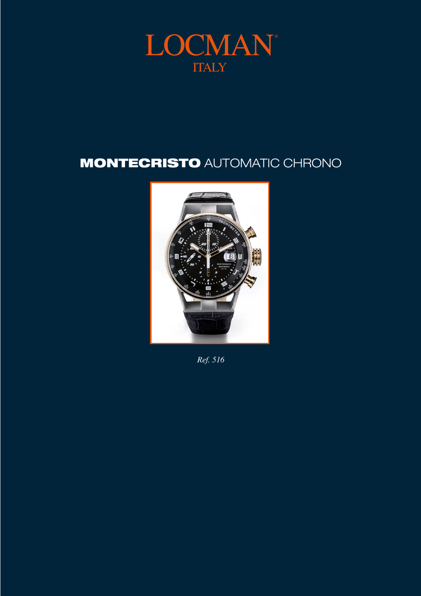

## **MONTECRISTO AUTOMATIC CHRONO**



Ref. 516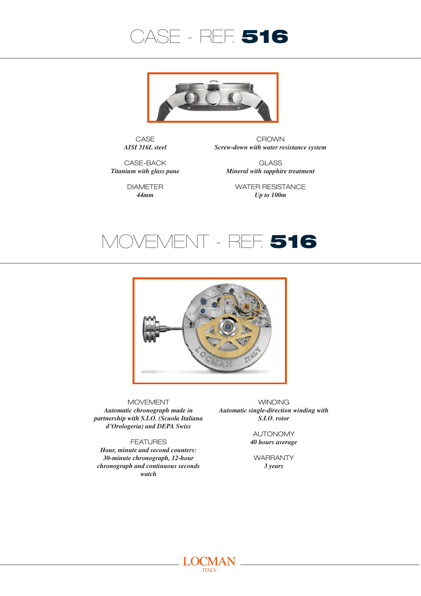



CASE *AISI 316L steel*

CROWN *Screw-down with water resistance system*

> GLASS *Mineral with sapphire treatment*

CASE-BACK *Titanium with glass pane*

> DIAMETER *44mm*

WATER RESISTANCE *Up to 100m*





MOVEMENT

*Automatic chronograph made in partnership with S.I.O. (Scuola Italiana d'Orologeria) and DEPA Swiss*

FEATURES

*Hour, minute and second counters: 30-minute chronograph, 12-hour chronograph and continuous seconds watch*

**WINDING** *Automatic single-direction winding with S.I.O. rotor*

> AUTONOMY *40 hours average*

**WARRANTY** *3 years*